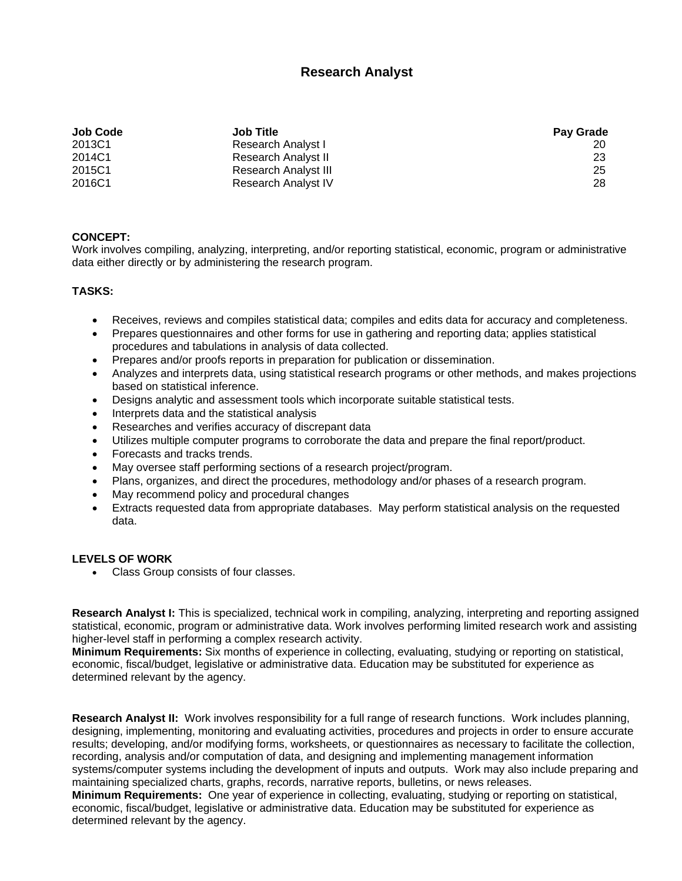## **Research Analyst**

| <b>Job Code</b> | <b>Job Title</b>     | Pay Grade |
|-----------------|----------------------|-----------|
| 2013C1          | Research Analyst I   |           |
| 2014C1          | Research Analyst II  | 23        |
| 2015C1          | Research Analyst III | 25        |
| 2016C1          | Research Analyst IV  | 28        |

## **CONCEPT:**

Work involves compiling, analyzing, interpreting, and/or reporting statistical, economic, program or administrative data either directly or by administering the research program.

## **TASKS:**

- Receives, reviews and compiles statistical data; compiles and edits data for accuracy and completeness.
- Prepares questionnaires and other forms for use in gathering and reporting data; applies statistical procedures and tabulations in analysis of data collected.
- Prepares and/or proofs reports in preparation for publication or dissemination.
- Analyzes and interprets data, using statistical research programs or other methods, and makes projections based on statistical inference.
- Designs analytic and assessment tools which incorporate suitable statistical tests.
- Interprets data and the statistical analysis
- Researches and verifies accuracy of discrepant data
- Utilizes multiple computer programs to corroborate the data and prepare the final report/product.
- Forecasts and tracks trends.
- May oversee staff performing sections of a research project/program.
- Plans, organizes, and direct the procedures, methodology and/or phases of a research program.
- May recommend policy and procedural changes
- Extracts requested data from appropriate databases. May perform statistical analysis on the requested data.

## **LEVELS OF WORK**

• Class Group consists of four classes.

**Research Analyst I:** This is specialized, technical work in compiling, analyzing, interpreting and reporting assigned statistical, economic, program or administrative data. Work involves performing limited research work and assisting higher-level staff in performing a complex research activity.

**Minimum Requirements:** Six months of experience in collecting, evaluating, studying or reporting on statistical, economic, fiscal/budget, legislative or administrative data. Education may be substituted for experience as determined relevant by the agency.

**Research Analyst II:** Work involves responsibility for a full range of research functions. Work includes planning, designing, implementing, monitoring and evaluating activities, procedures and projects in order to ensure accurate results; developing, and/or modifying forms, worksheets, or questionnaires as necessary to facilitate the collection, recording, analysis and/or computation of data, and designing and implementing management information systems/computer systems including the development of inputs and outputs. Work may also include preparing and maintaining specialized charts, graphs, records, narrative reports, bulletins, or news releases.

**Minimum Requirements:** One year of experience in collecting, evaluating, studying or reporting on statistical, economic, fiscal/budget, legislative or administrative data. Education may be substituted for experience as determined relevant by the agency.